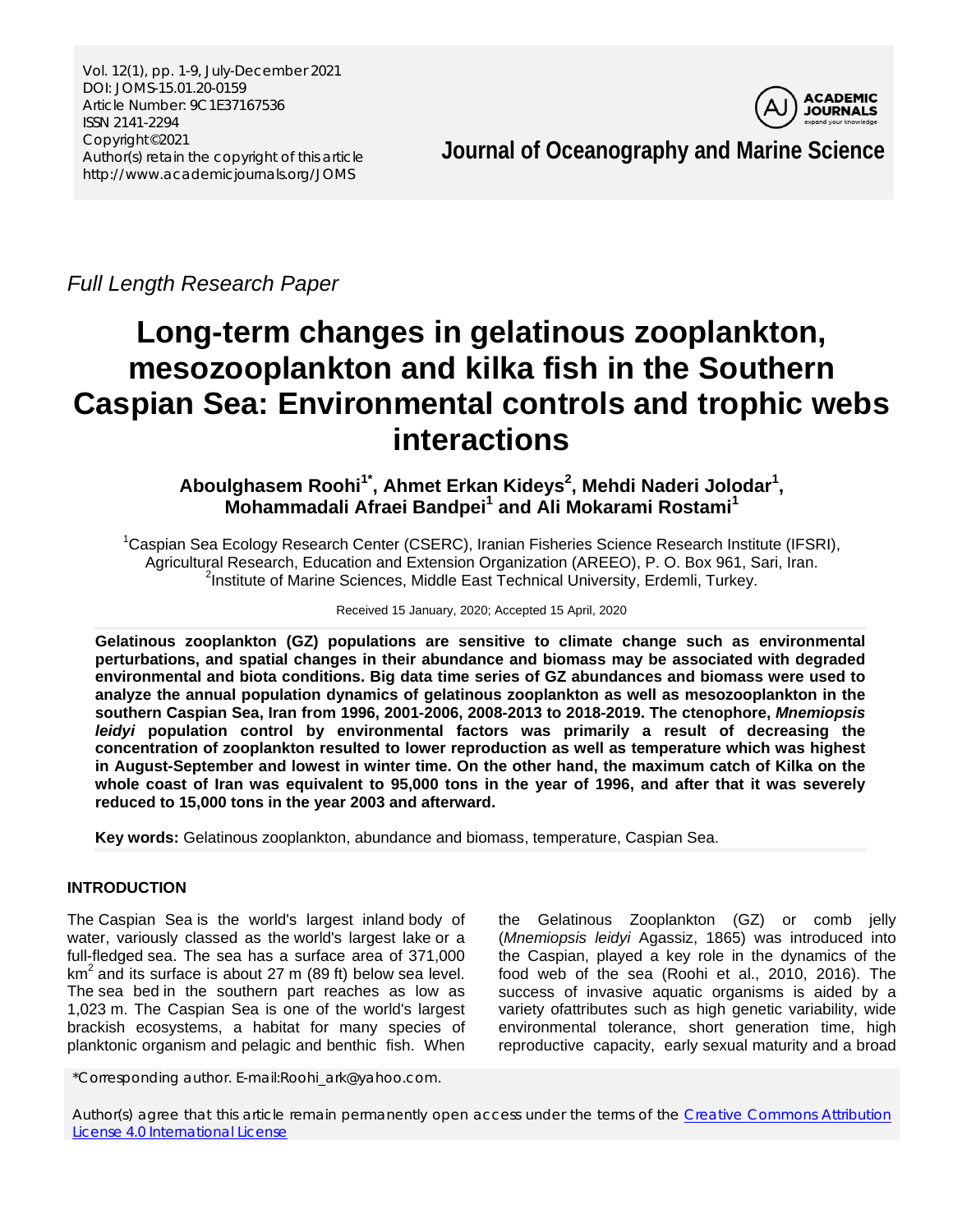Vol. 12(1), pp. 1-9, July-December 2021 DOI: JOMS-15.01.20-0159 Article Number: 9C1E37167536 ISSN 2141-2294 Copyright©2021 Author(s) retain the copyright of this article http://www.academicjournals.org/JOMS



**Journal of Oceanography and Marine Science**

*Full Length Research Paper*

# **Long-term changes in gelatinous zooplankton, mesozooplankton and kilka fish in the Southern Caspian Sea: Environmental controls and trophic webs interactions**

Aboulghasem Roohi<sup>1\*</sup>, Ahmet Erkan Kideys<sup>2</sup>, Mehdi Naderi Jolodar<sup>1</sup>, **Mohammadali Afraei Bandpei<sup>1</sup> and Ali Mokarami Rostami<sup>1</sup>**

<sup>1</sup>Caspian Sea Ecology Research Center (CSERC), Iranian Fisheries Science Research Institute (IFSRI), Agricultural Research, Education and Extension Organization (AREEO), P. O. Box 961, Sari, Iran. <sup>2</sup> <sup>2</sup>Institute of Marine Sciences, Middle East Technical University, Erdemli, Turkey.

Received 15 January, 2020; Accepted 15 April, 2020

**Gelatinous zooplankton (GZ) populations are sensitive to climate change such as environmental perturbations, and spatial changes in their abundance and biomass may be associated with degraded environmental and biota conditions. Big data time series of GZ abundances and biomass were used to analyze the annual population dynamics of gelatinous zooplankton as well as mesozooplankton in the southern Caspian Sea, Iran from 1996, 2001-2006, 2008-2013 to 2018-2019. The ctenophore,** *Mnemiopsis leidyi* **population control by environmental factors was primarily a result of decreasing the concentration of zooplankton resulted to lower reproduction as well as temperature which was highest in August-September and lowest in winter time. On the other hand, the maximum catch of Kilka on the whole coast of Iran was equivalent to 95,000 tons in the year of 1996, and after that it was severely reduced to 15,000 tons in the year 2003 and afterward.**

**Key words:** Gelatinous zooplankton, abundance and biomass, temperature, Caspian Sea.

## **INTRODUCTION**

The Caspian Sea is the world's largest inland [body of](https://en.wikipedia.org/wiki/Body_of_water)  [water,](https://en.wikipedia.org/wiki/Body_of_water) variously classed as the [world's largest lake](https://en.wikipedia.org/wiki/List_of_lakes_by_area) or a full-fledged [sea.](https://en.wikipedia.org/wiki/Sea) The sea has a surface area of 371,000  $km<sup>2</sup>$  and its surface is about 27 m (89 ft) below [sea level.](https://en.wikipedia.org/wiki/Sea_level) The [sea bed](https://en.wikipedia.org/wiki/Sea_bed) in the southern part reaches as low as 1,023 m. The Caspian Sea is one of the world's largest brackish ecosystems, a habitat for many species of planktonic organism and pelagic and benthic fish. When

the Gelatinous Zooplankton (GZ) or comb jelly (*Mnemiopsis leidyi* Agassiz, 1865) was introduced into the Caspian, played a key role in the dynamics of the food web of the sea (Roohi et al., 2010, 2016). The success of invasive aquatic organisms is aided by a variety ofattributes such as high genetic variability, wide environmental tolerance, short generation time, high reproductive capacity, early sexual maturity and a broad

\*Corresponding author. E-mail:Roohi\_ark@yahoo.com.

Author(s) agree that this article remain permanently open access under the terms of the [Creative Commons Attribution](http://creativecommons.org/licenses/by/4.0/deed.en_US)  [License 4.0 International License](http://creativecommons.org/licenses/by/4.0/deed.en_US)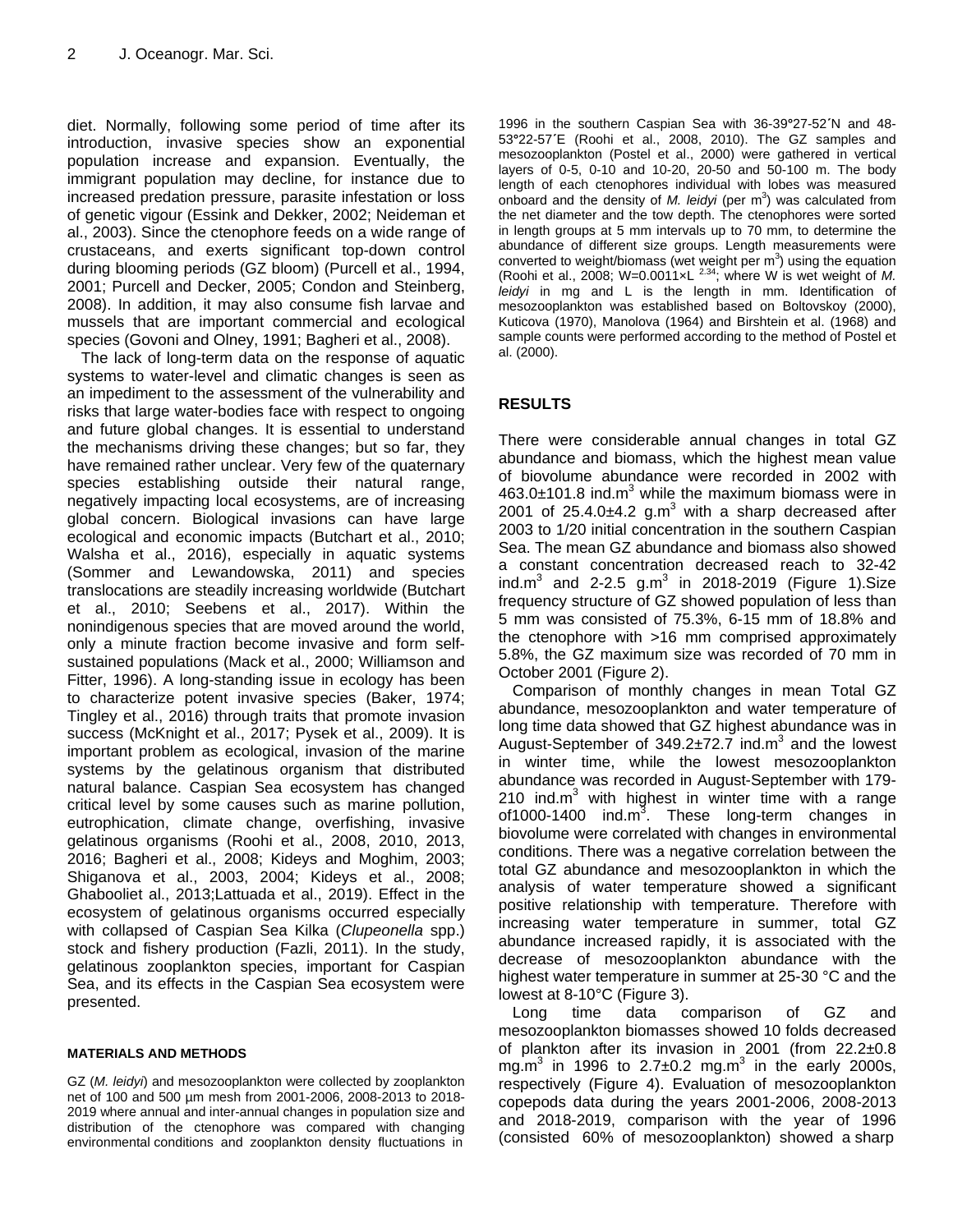diet. Normally, following some period of time after its introduction, invasive species show an exponential population increase and expansion. Eventually, the immigrant population may decline, for instance due to increased predation pressure, parasite infestation or loss of genetic vigour (Essink and Dekker, 2002; Neideman et al., 2003). Since the ctenophore feeds on a wide range of crustaceans, and exerts significant top-down control during blooming periods (GZ bloom) (Purcell et al., 1994, 2001; Purcell and Decker, 2005; Condon and Steinberg, 2008). In addition, it may also consume fish larvae and mussels that are important commercial and ecological species (Govoni and Olney, 1991; Bagheri et al., 2008).

The lack of long-term data on the response of aquatic systems to water-level and climatic changes is seen as an impediment to the assessment of the vulnerability and risks that large water-bodies face with respect to ongoing and future global changes. It is essential to understand the mechanisms driving these changes; but so far, they have remained rather unclear. Very few of the quaternary species establishing outside their natural range, negatively impacting local ecosystems, are of increasing global concern. Biological invasions can have large ecological and economic impacts (Butchart et al., 2010; Walsha et al., 2016), especially in aquatic systems (Sommer and Lewandowska, 2011) and species translocations are steadily increasing worldwide (Butchart et al., 2010; Seebens et al., 2017). Within the nonindigenous species that are moved around the world, only a minute fraction become invasive and form selfsustained populations (Mack et al., 2000; Williamson and Fitter, 1996). A long-standing issue in ecology has been to characterize potent invasive species (Baker, 1974; Tingley et al., 2016) through traits that promote invasion success (McKnight et al., 2017; Pysek et al., 2009). It is important problem as ecological, invasion of the marine systems by the gelatinous organism that distributed natural balance. Caspian Sea ecosystem has changed critical level by some causes such as marine pollution, eutrophication, climate change, overfishing, invasive gelatinous organisms (Roohi et al., 2008, 2010, 2013, 2016; Bagheri et al., 2008; Kideys and Moghim, 2003; Shiganova et al., 2003, 2004; Kideys et al., 2008; Ghabooliet al., 2013;Lattuada et al., 2019). Effect in the ecosystem of gelatinous organisms occurred especially with collapsed of Caspian Sea Kilka (*Clupeonella* spp.) stock and fishery production (Fazli, 2011). In the study, gelatinous zooplankton species, important for Caspian Sea, and its effects in the Caspian Sea ecosystem were presented.

## **MATERIALS AND METHODS**

GZ (*M. leidyi*) and mesozooplankton were collected by zooplankton net of 100 and 500 µm mesh from 2001-2006, 2008-2013 to 2018- 2019 where annual and inter-annual changes in population size and distribution of the ctenophore was compared with changing environmental conditions and zooplankton density fluctuations in

1996 in the southern Caspian Sea with 36-39**°**27-52**΄**N and 48- 53**°**22-57**΄**E (Roohi et al., 2008, 2010). The GZ samples and mesozooplankton (Postel et al., 2000) were gathered in vertical layers of 0-5, 0-10 and 10-20, 20-50 and 50-100 m. The body length of each ctenophores individual with lobes was measured onboard and the density of *M. leidyi* (per m<sup>3</sup>) was calculated from the net diameter and the tow depth. The ctenophores were sorted in length groups at 5 mm intervals up to 70 mm, to determine the abundance of different size groups. Length measurements were converted to weight/biomass (wet weight per  $m<sup>3</sup>$ ) using the equation (Roohi et al., 2008; W=0.0011 $\times$ L<sup>2.34</sup>; where W is wet weight of M. *leidyi* in mg and L is the length in mm. Identification of mesozooplankton was established based on Boltovskoy (2000), Kuticova (1970), Manolova (1964) and Birshtein et al. (1968) and sample counts were performed according to the method of Postel et al. (2000).

# **RESULTS**

There were considerable annual changes in total GZ abundance and biomass, which the highest mean value of biovolume abundance were recorded in 2002 with  $463.0\pm101.8$  ind.m<sup>3</sup> while the maximum biomass were in 2001 of  $25.4.0\pm4.2$  g.m<sup>3</sup> with a sharp decreased after 2003 to 1/20 initial concentration in the southern Caspian Sea. The mean GZ abundance and biomass also showed a constant concentration decreased reach to 32-42 ind.m<sup>3</sup> and 2-2.5 g.m<sup>3</sup> in 2018-2019 (Figure 1).Size frequency structure of GZ showed population of less than 5 mm was consisted of 75.3%, 6-15 mm of 18.8% and the ctenophore with >16 mm comprised approximately 5.8%, the GZ maximum size was recorded of 70 mm in October 2001 (Figure 2).

Comparison of monthly changes in mean Total GZ abundance, mesozooplankton and water temperature of long time data showed that GZ highest abundance was in August-September of  $349.2 \pm 72.7$  ind.m<sup>3</sup> and the lowest in winter time, while the lowest mesozooplankton abundance was recorded in August-September with 179- 210 ind.m<sup>3</sup> with highest in winter time with a range of1000-1400  $ind.m<sup>3</sup>$ . These long-term changes in biovolume were correlated with changes in environmental conditions. There was a negative correlation between the total GZ abundance and mesozooplankton in which the analysis of water temperature showed a significant positive relationship with temperature. Therefore with increasing water temperature in summer, total GZ abundance increased rapidly, it is associated with the decrease of mesozooplankton abundance with the highest water temperature in summer at 25-30 °C and the lowest at 8-10°C (Figure 3).

Long time data comparison of GZ and mesozooplankton biomasses showed 10 folds decreased of plankton after its invasion in 2001 (from 22.2±0.8 mg.m<sup>3</sup> in 1996 to 2.7 $\pm$ 0.2 mg.m<sup>3</sup> in the early 2000s, respectively (Figure 4). Evaluation of mesozooplankton copepods data during the years 2001-2006, 2008-2013 and 2018-2019, comparison with the year of 1996 (consisted 60% of mesozooplankton) showed a sharp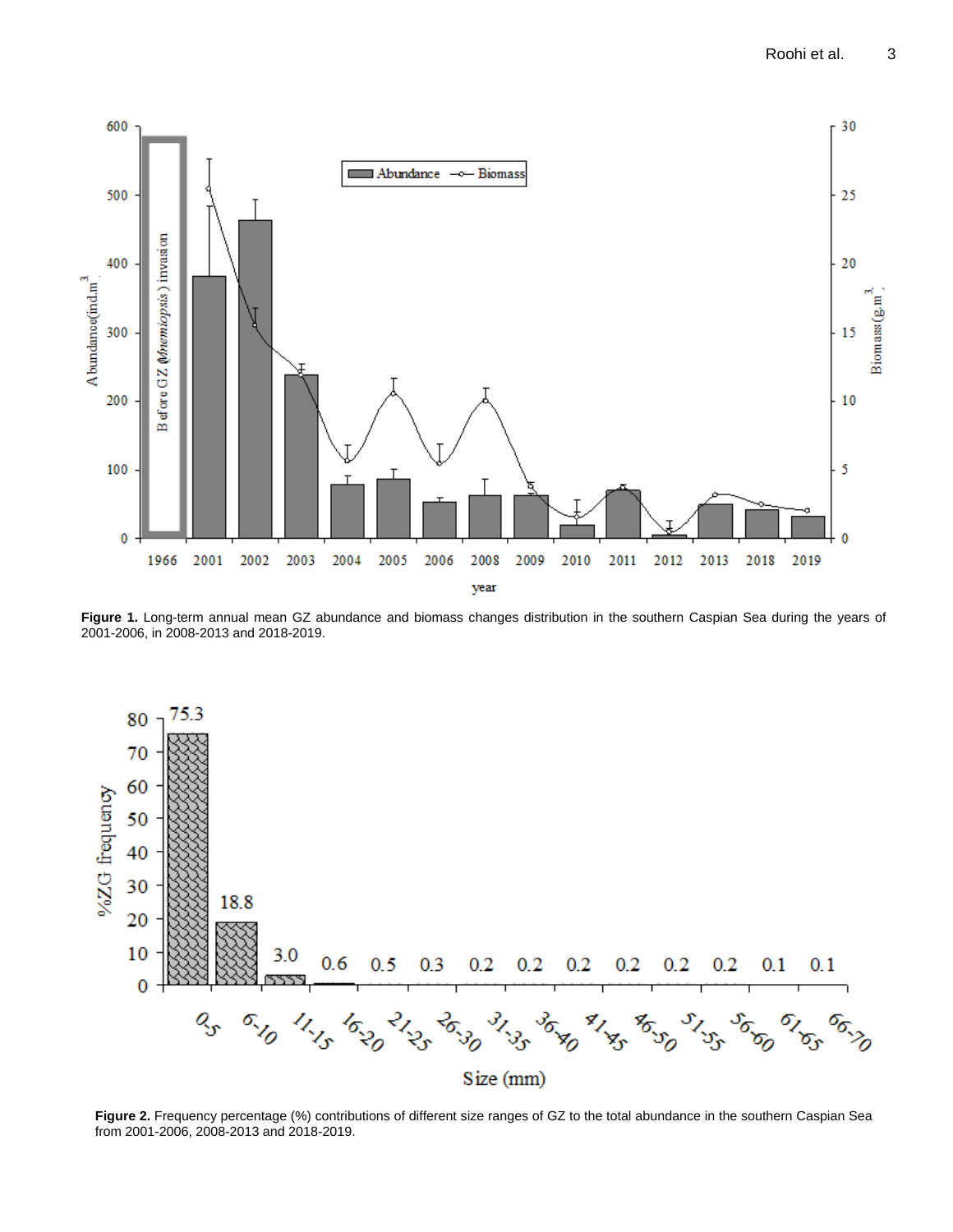

**Figure 1.** Long-term annual mean GZ abundance and biomass changes distribution in the southern Caspian Sea during the years of 2001-2006, in 2008-2013 and 2018-2019.



**Figure 2.** Frequency percentage (%) contributions of different size ranges of GZ to the total abundance in the southern Caspian Sea from 2001-2006, 2008-2013 and 2018-2019.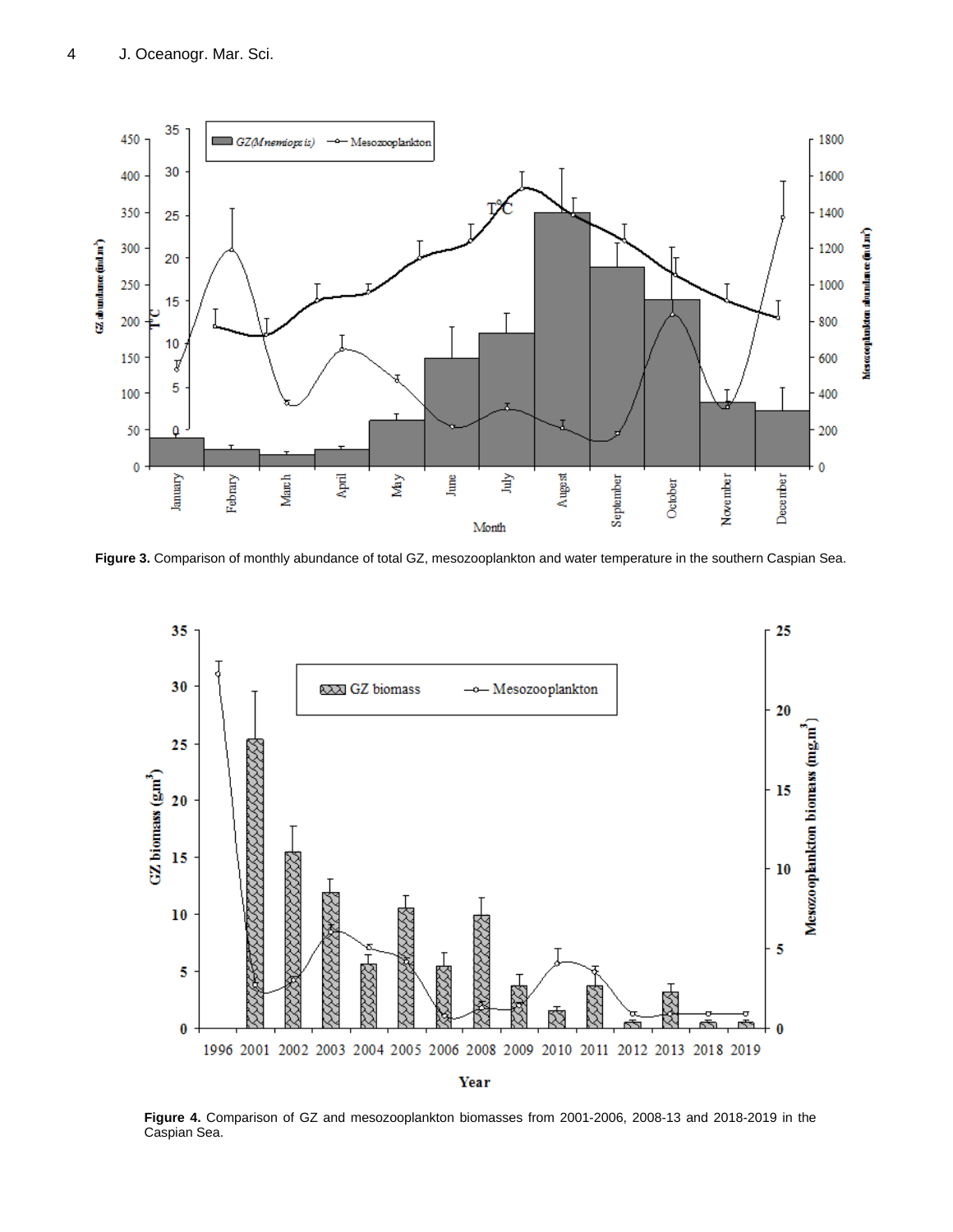

**Figure 3.** Comparison of monthly abundance of total GZ, mesozooplankton and water temperature in the southern Caspian Sea.



**Figure 4.** Comparison of GZ and mesozooplankton biomasses from 2001-2006, 2008-13 and 2018-2019 in the Caspian Sea.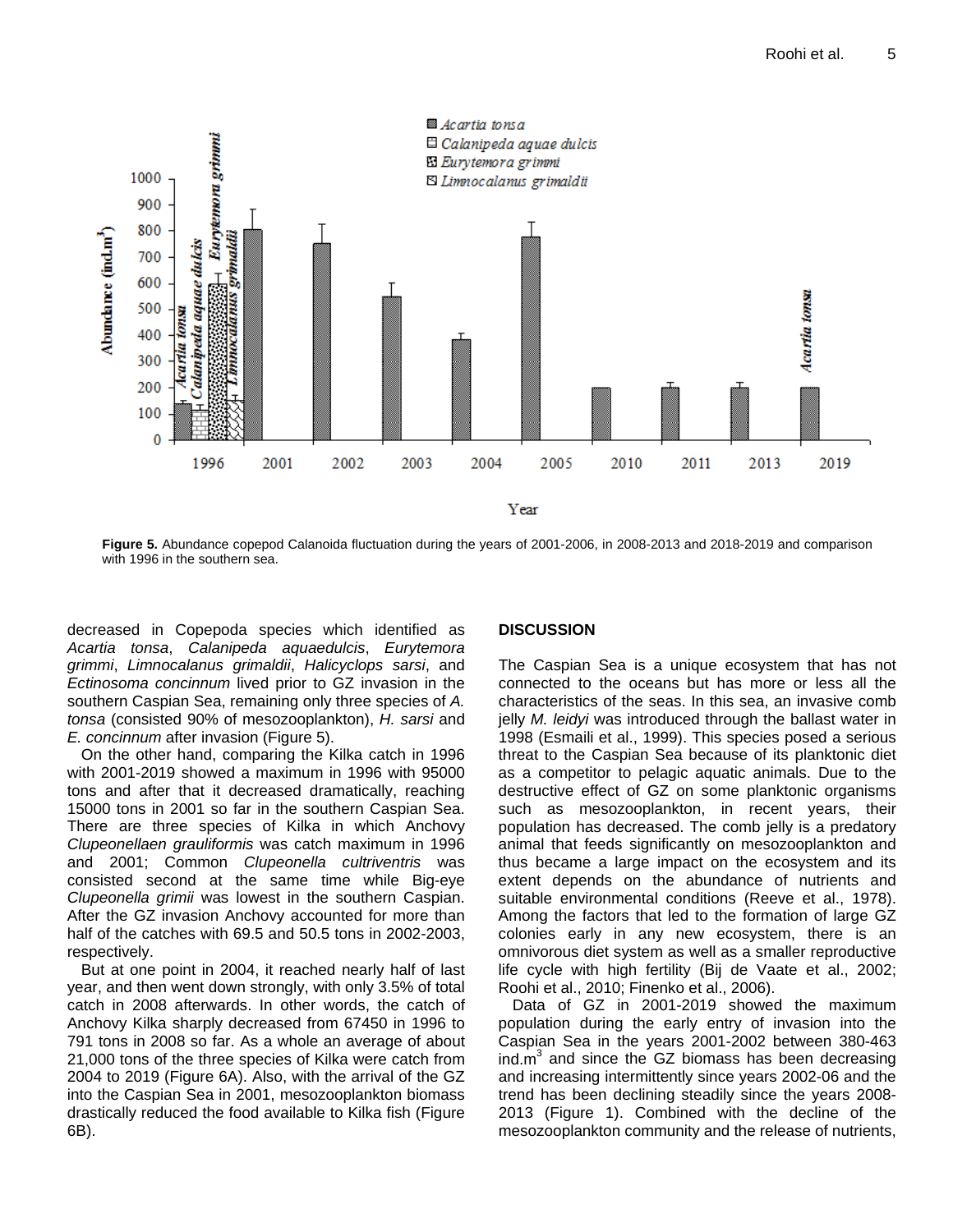

**Figure 5.** Abundance copepod Calanoida fluctuation during the years of 2001-2006, in 2008-2013 and 2018-2019 and comparison with 1996 in the southern sea.

decreased in Copepoda species which identified as *Acartia tonsa*, *Calanipeda aquaedulcis*, *Eurytemora grimmi*, *Limnocalanus grimaldii*, *Halicyclops sarsi*, and *Ectinosoma concinnum* lived prior to GZ invasion in the southern Caspian Sea, remaining only three species of *A. tonsa* (consisted 90% of mesozooplankton), *H. sarsi* and *E. concinnum* after invasion (Figure 5).

On the other hand, comparing the Kilka catch in 1996 with 2001-2019 showed a maximum in 1996 with 95000 tons and after that it decreased dramatically, reaching 15000 tons in 2001 so far in the southern Caspian Sea. There are three species of Kilka in which Anchovy *Clupeonellaen grauliformis* was catch maximum in 1996 and 2001; Common *Clupeonella cultriventris* was consisted second at the same time while Big-eye *Clupeonella grimii* was lowest in the southern Caspian. After the GZ invasion Anchovy accounted for more than half of the catches with 69.5 and 50.5 tons in 2002-2003, respectively.

But at one point in 2004, it reached nearly half of last year, and then went down strongly, with only 3.5% of total catch in 2008 afterwards. In other words, the catch of Anchovy Kilka sharply decreased from 67450 in 1996 to 791 tons in 2008 so far. As a whole an average of about 21,000 tons of the three species of Kilka were catch from 2004 to 2019 (Figure 6A). Also, with the arrival of the GZ into the Caspian Sea in 2001, mesozooplankton biomass drastically reduced the food available to Kilka fish (Figure 6B).

## **DISCUSSION**

The Caspian Sea is a unique ecosystem that has not connected to the oceans but has more or less all the characteristics of the seas. In this sea, an invasive comb jelly *M. leidyi* was introduced through the ballast water in 1998 (Esmaili et al., 1999). This species posed a serious threat to the Caspian Sea because of its planktonic diet as a competitor to pelagic aquatic animals. Due to the destructive effect of GZ on some planktonic organisms such as mesozooplankton, in recent years, their population has decreased. The comb jelly is a predatory animal that feeds significantly on mesozooplankton and thus became a large impact on the ecosystem and its extent depends on the abundance of nutrients and suitable environmental conditions (Reeve et al., 1978). Among the factors that led to the formation of large GZ colonies early in any new ecosystem, there is an omnivorous diet system as well as a smaller reproductive life cycle with high fertility (Bij de Vaate et al., 2002; Roohi et al., 2010; Finenko et al., 2006).

Data of GZ in 2001-2019 showed the maximum population during the early entry of invasion into the Caspian Sea in the years 2001-2002 between 380-463 ind. $m<sup>3</sup>$  and since the GZ biomass has been decreasing and increasing intermittently since years 2002-06 and the trend has been declining steadily since the years 2008- 2013 (Figure 1). Combined with the decline of the mesozooplankton community and the release of nutrients,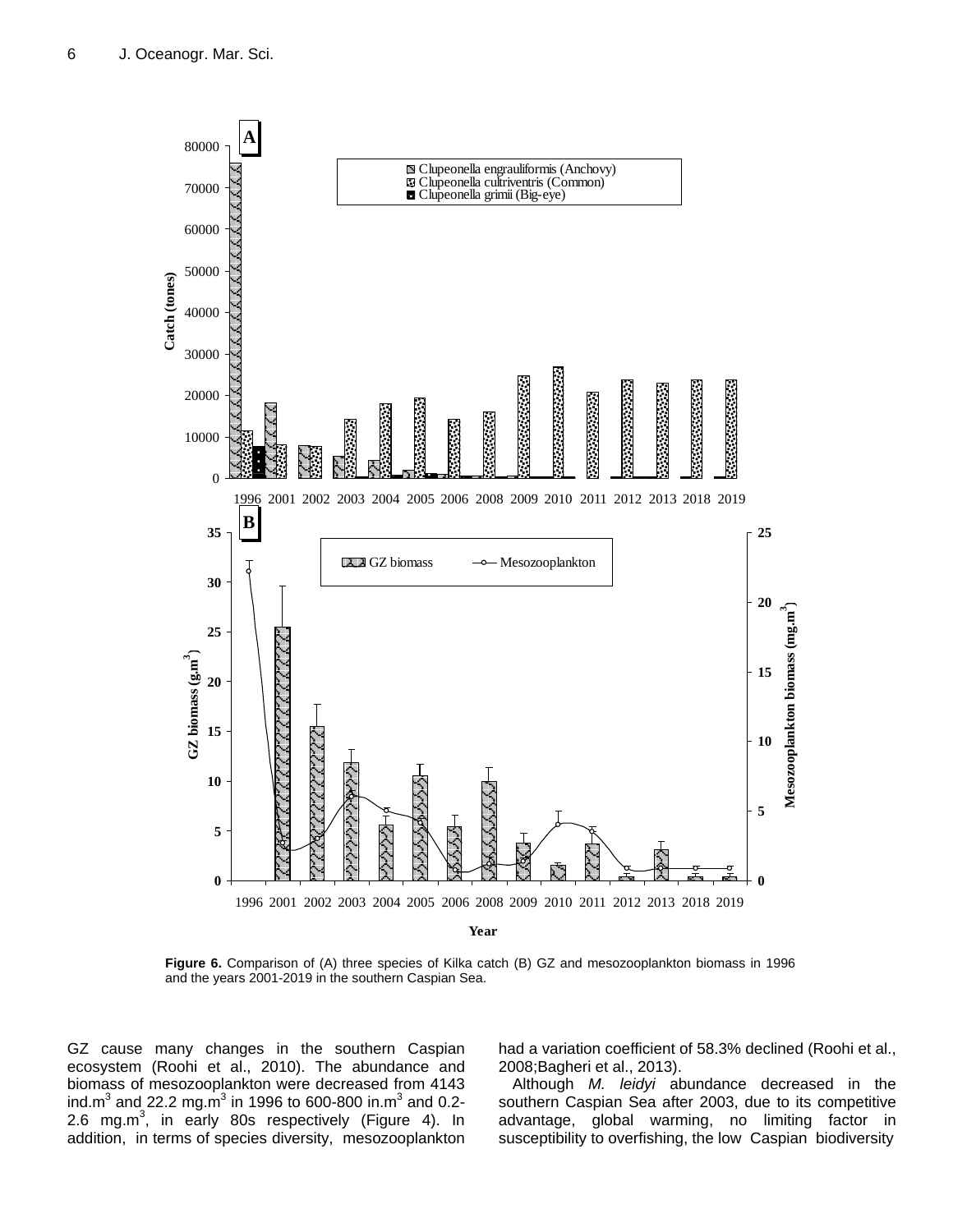

**Figure 6.** Comparison of (A) three species of Kilka catch (B) GZ and mesozooplankton biomass in 1996 and the years 2001-2019 in the southern Caspian Sea.

GZ cause many changes in the southern Caspian ecosystem (Roohi et al., 2010). The abundance and biomass of mesozooplankton were decreased from 4143 ind.m<sup>3</sup> and 22.2 mg.m<sup>3</sup> in 1996 to 600-800 in.m<sup>3</sup> and 0.2-2.6 mg.m<sup>3</sup>, in early 80s respectively (Figure 4). In addition, in terms of species diversity, mesozooplankton

had a variation coefficient of 58.3% declined (Roohi et al., 2008;Bagheri et al., 2013).

Although *M. leidyi* abundance decreased in the southern Caspian Sea after 2003, due to its competitive advantage, global warming, no limiting factor in susceptibility to overfishing, the low Caspian biodiversity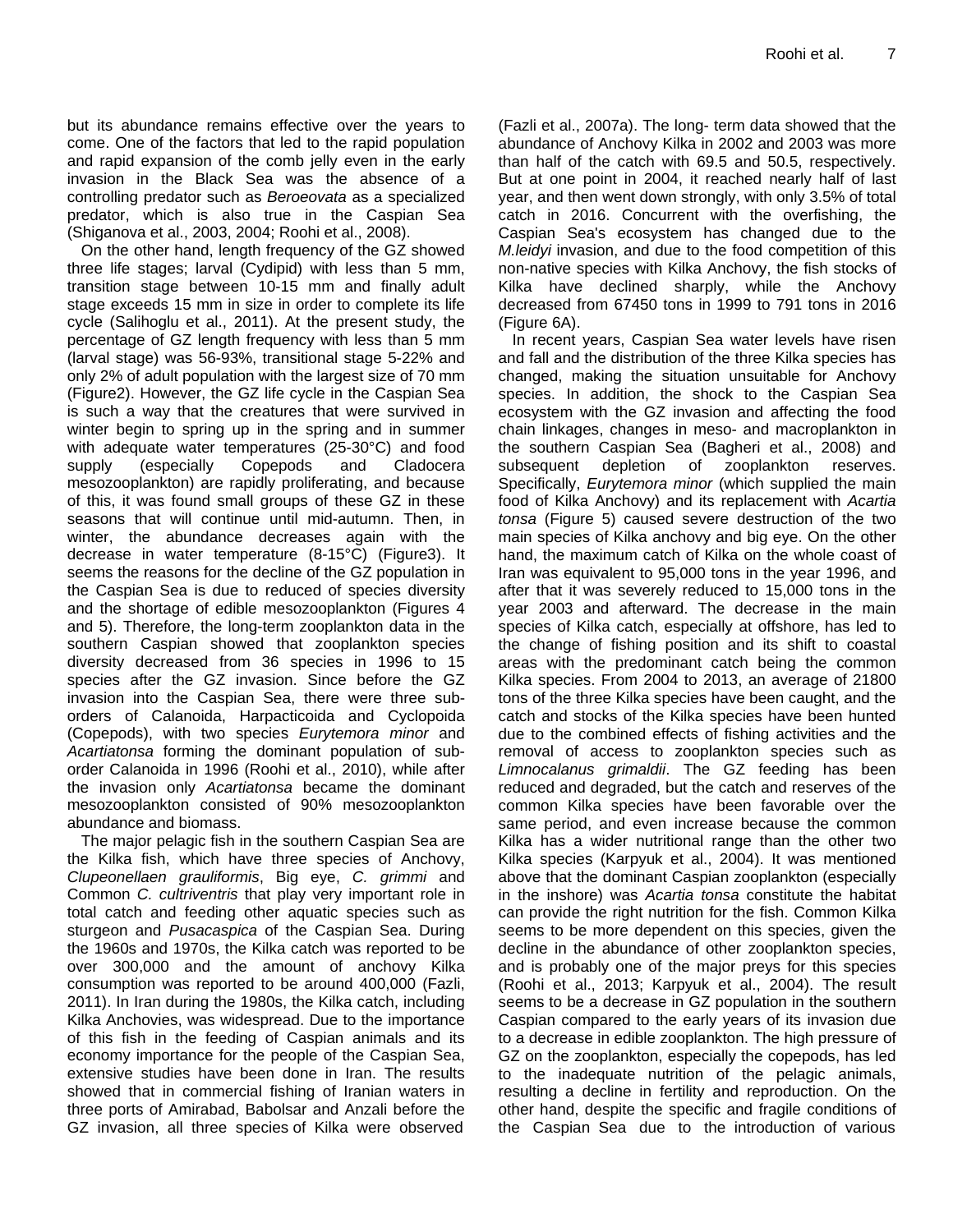but its abundance remains effective over the years to come. One of the factors that led to the rapid population and rapid expansion of the comb jelly even in the early invasion in the Black Sea was the absence of a controlling predator such as *Beroeovata* as a specialized predator, which is also true in the Caspian Sea (Shiganova et al., 2003, 2004; Roohi et al., 2008).

On the other hand, length frequency of the GZ showed three life stages; larval (Cydipid) with less than 5 mm, transition stage between 10-15 mm and finally adult stage exceeds 15 mm in size in order to complete its life cycle (Salihoglu et al., 2011). At the present study, the percentage of GZ length frequency with less than 5 mm (larval stage) was 56-93%, transitional stage 5-22% and only 2% of adult population with the largest size of 70 mm (Figure2). However, the GZ life cycle in the Caspian Sea is such a way that the creatures that were survived in winter begin to spring up in the spring and in summer with adequate water temperatures (25-30°C) and food supply (especially Copepods and Cladocera mesozooplankton) are rapidly proliferating, and because of this, it was found small groups of these GZ in these seasons that will continue until mid-autumn. Then, in winter, the abundance decreases again with the decrease in water temperature (8-15°C) (Figure3). It seems the reasons for the decline of the GZ population in the Caspian Sea is due to reduced of species diversity and the shortage of edible mesozooplankton (Figures 4 and 5). Therefore, the long-term zooplankton data in the southern Caspian showed that zooplankton species diversity decreased from 36 species in 1996 to 15 species after the GZ invasion. Since before the GZ invasion into the Caspian Sea, there were three suborders of Calanoida, Harpacticoida and Cyclopoida (Copepods), with two species *Eurytemora minor* and *Acartiatonsa* forming the dominant population of suborder Calanoida in 1996 (Roohi et al., 2010), while after the invasion only *Acartiatonsa* became the dominant mesozooplankton consisted of 90% mesozooplankton abundance and biomass.

The major pelagic fish in the southern Caspian Sea are the Kilka fish, which have three species of Anchovy, *Clupeonellaen grauliformis*, Big eye, *C. grimmi* and Common *C. cultriventris* that play very important role in total catch and feeding other aquatic species such as sturgeon and *Pusacaspica* of the Caspian Sea. During the 1960s and 1970s, the Kilka catch was reported to be over 300,000 and the amount of anchovy Kilka consumption was reported to be around 400,000 (Fazli, 2011). In Iran during the 1980s, the Kilka catch, including Kilka Anchovies, was widespread. Due to the importance of this fish in the feeding of Caspian animals and its economy importance for the people of the Caspian Sea, extensive studies have been done in Iran. The results showed that in commercial fishing of Iranian waters in three ports of Amirabad, Babolsar and Anzali before the GZ invasion, all three species of Kilka were observed

(Fazli et al., 2007a). The long- term data showed that the abundance of Anchovy Kilka in 2002 and 2003 was more than half of the catch with 69.5 and 50.5, respectively. But at one point in 2004, it reached nearly half of last year, and then went down strongly, with only 3.5% of total catch in 2016. Concurrent with the overfishing, the Caspian Sea's ecosystem has changed due to the *M.leidyi* invasion, and due to the food competition of this non-native species with Kilka Anchovy, the fish stocks of Kilka have declined sharply, while the Anchovy decreased from 67450 tons in 1999 to 791 tons in 2016 (Figure 6A).

In recent years, Caspian Sea water levels have risen and fall and the distribution of the three Kilka species has changed, making the situation unsuitable for Anchovy species. In addition, the shock to the Caspian Sea ecosystem with the GZ invasion and affecting the food chain linkages, changes in meso- and macroplankton in the southern Caspian Sea (Bagheri et al., 2008) and subsequent depletion of zooplankton reserves. Specifically, *Eurytemora minor* (which supplied the main food of Kilka Anchovy) and its replacement with *Acartia tonsa* (Figure 5) caused severe destruction of the two main species of Kilka anchovy and big eye. On the other hand, the maximum catch of Kilka on the whole coast of Iran was equivalent to 95,000 tons in the year 1996, and after that it was severely reduced to 15,000 tons in the year 2003 and afterward. The decrease in the main species of Kilka catch, especially at offshore, has led to the change of fishing position and its shift to coastal areas with the predominant catch being the common Kilka species. From 2004 to 2013, an average of 21800 tons of the three Kilka species have been caught, and the catch and stocks of the Kilka species have been hunted due to the combined effects of fishing activities and the removal of access to zooplankton species such as *Limnocalanus grimaldii*. The GZ feeding has been reduced and degraded, but the catch and reserves of the common Kilka species have been favorable over the same period, and even increase because the common Kilka has a wider nutritional range than the other two Kilka species (Karpyuk et al., 2004). It was mentioned above that the dominant Caspian zooplankton (especially in the inshore) was *Acartia tonsa* constitute the habitat can provide the right nutrition for the fish. Common Kilka seems to be more dependent on this species, given the decline in the abundance of other zooplankton species, and is probably one of the major preys for this species (Roohi et al., 2013; Karpyuk et al., 2004). The result seems to be a decrease in GZ population in the southern Caspian compared to the early years of its invasion due to a decrease in edible zooplankton. The high pressure of GZ on the zooplankton, especially the copepods, has led to the inadequate nutrition of the pelagic animals, resulting a decline in fertility and reproduction. On the other hand, despite the specific and fragile conditions of the Caspian Sea due to the introduction of various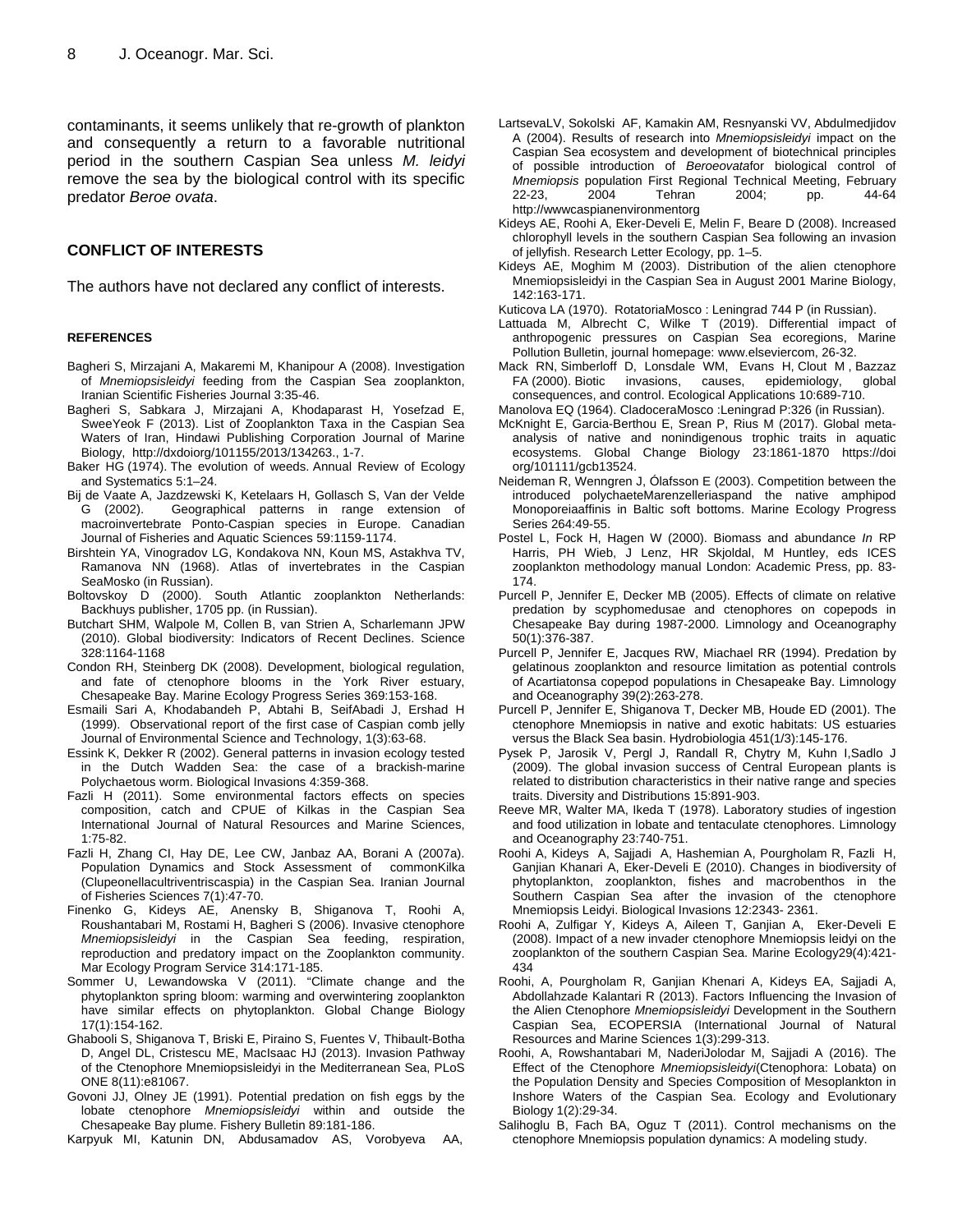contaminants, it seems unlikely that re-growth of plankton and consequently a return to a favorable nutritional period in the southern Caspian Sea unless *M. leidyi* remove the sea by the biological control with its specific predator *Beroe ovata*.

#### **CONFLICT OF INTERESTS**

The authors have not declared any conflict of interests.

#### **REFERENCES**

- Bagheri S, Mirzajani A, Makaremi M, Khanipour A (2008). Investigation of *Mnemiopsisleidyi* feeding from the Caspian Sea zooplankton, Iranian Scientific Fisheries Journal 3:35-46.
- Bagheri S, Sabkara J, Mirzajani A, Khodaparast H, Yosefzad E, SweeYeok F (2013). List of Zooplankton Taxa in the Caspian Sea Waters of Iran, Hindawi Publishing Corporation Journal of Marine Biology, http://dxdoiorg/101155/2013/134263., 1-7.
- Baker HG (1974). The evolution of weeds. Annual Review of Ecology and Systematics 5:1–24.
- Bij de Vaate A, Jazdzewski K, Ketelaars H, Gollasch S, Van der Velde<br>G (2002), Geographical patterns in range extension of Geographical patterns in range extension of macroinvertebrate Ponto-Caspian species in Europe. Canadian Journal of Fisheries and Aquatic Sciences 59:1159-1174.
- Birshtein YA, Vinogradov LG, Kondakova NN, Koun MS, Astakhva TV, Ramanova NN (1968). Atlas of invertebrates in the Caspian SeaMosko (in Russian).
- Boltovskoy D (2000). South Atlantic zooplankton Netherlands: Backhuys publisher, 1705 pp. (in Russian).
- Butchart SHM, Walpole M, Collen B, van Strien A, Scharlemann JPW (2010). Global biodiversity: Indicators of Recent Declines. Science 328:1164-1168
- Condon RH, Steinberg DK (2008). Development, biological regulation, and fate of ctenophore blooms in the York River estuary, Chesapeake Bay. Marine Ecology Progress Series 369:153-168.
- Esmaili Sari A, Khodabandeh P, Abtahi B, SeifAbadi J, Ershad H (1999). Observational report of the first case of Caspian comb jelly Journal of Environmental Science and Technology, 1(3):63-68.
- Essink K, Dekker R (2002). General patterns in invasion ecology tested in the Dutch Wadden Sea: the case of a brackish-marine Polychaetous worm. Biological Invasions 4:359-368.
- Fazli H (2011). Some environmental factors effects on species composition, catch and CPUE of Kilkas in the Caspian Sea International Journal of Natural Resources and Marine Sciences, 1:75-82.
- Fazli H, Zhang CI, Hay DE, Lee CW, Janbaz AA, Borani A (2007a). Population Dynamics and Stock Assessment of commonKilka (Clupeonellacultriventriscaspia) in the Caspian Sea. Iranian Journal of Fisheries Sciences 7(1):47-70.
- Finenko G, Kideys AE, Anensky B, Shiganova T, Roohi A, Roushantabari M, Rostami H, Bagheri S (2006). Invasive ctenophore *Mnemiopsisleidyi* in the Caspian Sea feeding, respiration, reproduction and predatory impact on the Zooplankton community. Mar Ecology Program Service 314:171-185.
- Sommer U, Lewandowska V (2011). "Climate change and the phytoplankton spring bloom: warming and overwintering zooplankton have similar effects on phytoplankton. Global Change Biology 17(1):154-162.
- Ghabooli S, Shiganova T, Briski E, Piraino S, Fuentes V, Thibault-Botha D, Angel DL, Cristescu ME, MacIsaac HJ (2013). Invasion Pathway of the Ctenophore Mnemiopsisleidyi in the Mediterranean Sea, PLoS ONE 8(11):e81067.
- Govoni JJ, Olney JE (1991). Potential predation on fish eggs by the lobate ctenophore *Mnemiopsisleidyi* within and outside the Chesapeake Bay plume. Fishery Bulletin 89:181-186.

Karpyuk MI, Katunin DN, Abdusamadov AS, Vorobyeva AA,

- LartsevaLV, Sokolski AF, Kamakin AM, Resnyanski VV, Abdulmedjidov A (2004). Results of research into *Mnemiopsisleidyi* impact on the Caspian Sea ecosystem and development of biotechnical principles of possible introduction of *Beroeovata*for biological control of *Mnemiopsis* population First Regional Technical Meeting, February 22-23, 2004 Tehran 2004; pp. 44-64 http://wwwcaspianenvironmentorg
- Kideys AE, Roohi A, Eker-Develi E, Melin F, Beare D (2008). Increased chlorophyll levels in the southern Caspian Sea following an invasion of jellyfish. Research Letter Ecology, pp. 1–5.
- Kideys AE, Moghim M (2003). Distribution of the alien ctenophore Mnemiopsisleidyi in the Caspian Sea in August 2001 Marine Biology, 142:163-171.
- Kuticova LA (1970). RotatoriaMosco : Leningrad 744 P (in Russian).
- Lattuada M, Albrecht C, Wilke T (2019). Differential impact of anthropogenic pressures on Caspian Sea ecoregions, Marine Pollution Bulletin, journal homepage[: www.elseviercom,](http://www.elseviercom/) 26-32.
- Mack RN, Simberloff D, Lonsdale WM, Evans H, Clout M , Bazzaz FA (2000). Biotic invasions, causes, epidemiology, global consequences, and control. Ecological Applications 10:689-710.
- Manolova EQ (1964). CladoceraMosco :Leningrad P:326 (in Russian).
- McKnight E, Garcia-Berthou E, Srean P, Rius M (2017). Global metaanalysis of native and nonindigenous trophic traits in aquatic ecosystems. Global Change Biology 23:1861-1870 https://doi org/101111/gcb13524.
- Neideman R, Wenngren J, Ólafsson E (2003). Competition between the introduced polychaeteMarenzelleriaspand the native amphipod Monoporeiaaffinis in Baltic soft bottoms. Marine Ecology Progress Series 264:49-55.
- Postel L, Fock H, Hagen W (2000). Biomass and abundance *In* RP Harris, PH Wieb, J Lenz, HR Skjoldal, M Huntley, eds ICES zooplankton methodology manual London: Academic Press, pp. 83- 174.
- Purcell P, Jennifer E, Decker MB (2005). Effects of climate on relative predation by scyphomedusae and ctenophores on copepods in Chesapeake Bay during 1987-2000. Limnology and Oceanography 50(1):376-387.
- Purcell P, Jennifer E, Jacques RW, Miachael RR (1994). Predation by gelatinous zooplankton and resource limitation as potential controls of Acartiatonsa copepod populations in Chesapeake Bay. Limnology and Oceanography 39(2):263-278.
- Purcell P, Jennifer E, Shiganova T, Decker MB, Houde ED (2001). The ctenophore Mnemiopsis in native and exotic habitats: US estuaries versus the Black Sea basin. Hydrobiologia 451(1/3):145-176.
- Pysek P, Jarosik V, Pergl J, Randall R, Chytry M, Kuhn I,Sadlo J (2009). The global invasion success of Central European plants is related to distribution characteristics in their native range and species traits. Diversity and Distributions 15:891-903.
- Reeve MR, Walter MA, Ikeda T (1978). Laboratory studies of ingestion and food utilization in lobate and tentaculate ctenophores. Limnology and Oceanography 23:740-751.
- Roohi A, Kideys A, Sajjadi A, Hashemian A, Pourgholam R, Fazli H, Ganjian Khanari A, Eker-Develi E (2010). Changes in biodiversity of phytoplankton, zooplankton, fishes and macrobenthos in the Southern Caspian Sea after the invasion of the ctenophore Mnemiopsis Leidyi. Biological Invasions 12:2343- 2361.
- Roohi A, Zulfigar Y, Kideys A, Aileen T, Ganjian A, Eker-Develi E (2008). Impact of a new invader ctenophore Mnemiopsis leidyi on the zooplankton of the southern Caspian Sea. Marine Ecology29(4):421- 434
- Roohi, A, Pourgholam R, Ganjian Khenari A, Kideys EA, Sajjadi A, Abdollahzade Kalantari R (2013). Factors Influencing the Invasion of the Alien Ctenophore *Mnemiopsisleidyi* Development in the Southern Caspian Sea, ECOPERSIA (International Journal of Natural Resources and Marine Sciences 1(3):299-313.
- Roohi, A, Rowshantabari M, NaderiJolodar M, Sajjadi A (2016). The Effect of the Ctenophore *Mnemiopsisleidyi*(Ctenophora: Lobata) on the Population Density and Species Composition of Mesoplankton in Inshore Waters of the Caspian Sea. Ecology and Evolutionary Biology 1(2):29-34.
- Salihoglu B, Fach BA, Oguz T (2011). Control mechanisms on the ctenophore Mnemiopsis population dynamics: A modeling study.